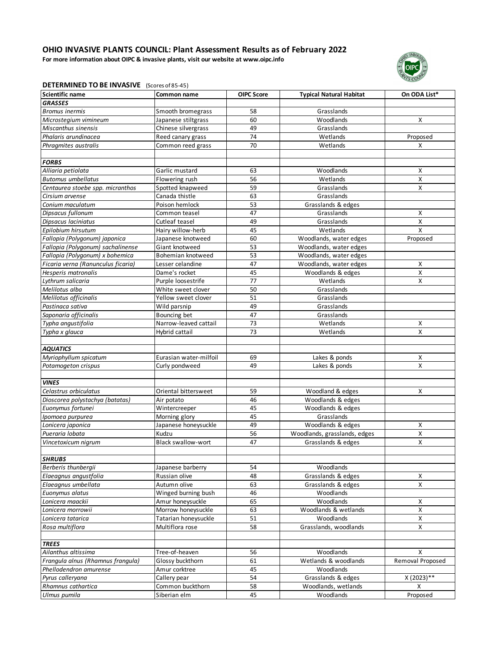**For more information about OIPC & invasive plants, visit our website at www.oipc.info**



## **DETERMINED TO BE INVASIVE** (Scores of 85-45)

| <b>Scientific name</b>             | Common name               | <b>OIPC Score</b> | <b>Typical Natural Habitat</b> | On ODA List*       |
|------------------------------------|---------------------------|-------------------|--------------------------------|--------------------|
| <b>GRASSES</b>                     |                           |                   |                                |                    |
| <b>Bromus inermis</b>              | Smooth bromegrass         | 58                | Grasslands                     |                    |
| Microstegium vimineum              | Japanese stiltgrass       | 60                | Woodlands                      | X                  |
| Miscanthus sinensis                | Chinese silvergrass       | 49                | Grasslands                     |                    |
| Phalaris arundinacea               | Reed canary grass         | 74                | Wetlands                       | Proposed           |
| Phragmites australis               | Common reed grass         | 70                | Wetlands                       | X                  |
|                                    |                           |                   |                                |                    |
| <b>FORBS</b>                       |                           |                   |                                |                    |
| Alliaria petiolata                 | Garlic mustard            | 63                | Woodlands                      | X                  |
| <b>Butomus umbellatus</b>          | Flowering rush            | 56                | Wetlands                       | X                  |
| Centaurea stoebe spp. micranthos   | Spotted knapweed          | 59                | Grasslands                     | $\pmb{\mathsf{X}}$ |
| Cirsium arvense                    | Canada thistle            | 63                | Grasslands                     |                    |
| Conium maculatum                   | Poison hemlock            | 53                | Grasslands & edges             |                    |
| Dipsacus fullonum                  | Common teasel             | 47                | Grasslands                     | Χ                  |
| Dipsacus laciniatus                | Cutleaf teasel            | 49                | Grasslands                     | Χ                  |
| Epilobium hirsutum                 | Hairy willow-herb         | 45                | Wetlands                       | X                  |
| Fallopia (Polygonum) japonica      | Japanese knotweed         | 60                | Woodlands, water edges         | Proposed           |
| Fallopia (Polygonum) sachalinense  | Giant knotweed            | 53                | Woodlands, water edges         |                    |
| Fallopia (Polygonum) x bohemica    | Bohemian knotweed         | 53                | Woodlands, water edges         |                    |
| Ficaria verna (Ranunculus ficaria) | Lesser celandine          | 47                | Woodlands, water edges         | X                  |
| Hesperis matronalis                | Dame's rocket             | 45                | Woodlands & edges              | $\pmb{\mathsf{X}}$ |
| Lythrum salicaria                  | Purple loosestrife        | 77                | Wetlands                       | X                  |
| Melilotus alba                     | White sweet clover        | 50                | Grasslands                     |                    |
| Melilotus officinalis              | Yellow sweet clover       | 51                | Grasslands                     |                    |
| Pastinaca sativa                   | Wild parsnip              | 49                | Grasslands                     |                    |
| Saponaria officinalis              | Bouncing bet              | 47                | Grasslands                     |                    |
| Typha angustifolia                 | Narrow-leaved cattail     | 73                | Wetlands                       | x                  |
| Typha x glauca                     | Hybrid cattail            | 73                | Wetlands                       | X                  |
|                                    |                           |                   |                                |                    |
| <b>AQUATICS</b>                    |                           |                   |                                |                    |
| Myriophyllum spicatum              | Eurasian water-milfoil    | 69                | Lakes & ponds                  | X                  |
| Potamogeton crispus                | Curly pondweed            | 49                | Lakes & ponds                  | X                  |
|                                    |                           |                   |                                |                    |
| <b>VINES</b>                       |                           |                   |                                |                    |
| Celastrus orbiculatus              | Oriental bittersweet      | 59                | Woodland & edges               | X                  |
| Dioscorea polystachya (batatas)    | Air potato                | 46                | Woodlands & edges              |                    |
| Euonymus fortunei                  | Wintercreeper             | 45                | Woodlands & edges              |                    |
| Ipomoea purpurea                   | Morning glory             | 45                | Grasslands                     |                    |
| Lonicera japonica                  | Japanese honeysuckle      | 49                | Woodlands & edges              | X                  |
| Pueraria lobata                    | Kudzu                     | 56                | Woodlands, grasslands, edges   | X                  |
| Vincetoxicum nigrum                | <b>Black swallow-wort</b> | 47                | Grasslands & edges             | Χ                  |
|                                    |                           |                   |                                |                    |
| <b>SHRUBS</b>                      |                           |                   |                                |                    |
| Berberis thunbergii                | Japanese barberry         | 54                | Woodlands                      |                    |
| Elaeagnus angustfolia              | Russian olive             | 48                | Grasslands & edges             | x                  |
| Elaeagnus umbellata                | Autumn olive              | 63                | Grasslands & edges             | $\pmb{\mathsf{X}}$ |
| Euonymus alatus                    | Winged burning bush       | 46                | Woodlands                      |                    |
| Lonicera maackii                   | Amur honeysuckle          | 65                | Woodlands                      | X                  |
| Lonicera morrowii                  | Morrow honeysuckle        | 63                | Woodlands & wetlands           | X                  |
| Lonicera tatarica                  | Tatarian honeysuckle      | 51                | Woodlands                      | X                  |
| Rosa multiflora                    | Multiflora rose           | 58                | Grasslands, woodlands          | X                  |
|                                    |                           |                   |                                |                    |
| <b>TREES</b>                       |                           |                   |                                |                    |
| Ailanthus altissima                | Tree-of-heaven            | 56                | Woodlands                      | х                  |
| Frangula alnus (Rhamnus frangula)  | Glossy buckthorn          | 61                | Wetlands & woodlands           | Removal Proposed   |
| Phellodendron amurense             | Amur corktree             | 45                | Woodlands                      |                    |
| Pyrus calleryana                   | Callery pear              | 54                | Grasslands & edges             | X (2023)**         |
| Rhamnus cathartica                 | Common buckthorn          | 58                | Woodlands, wetlands            | x                  |
| Ulmus pumila                       | Siberian elm              | 45                | Woodlands                      | Proposed           |